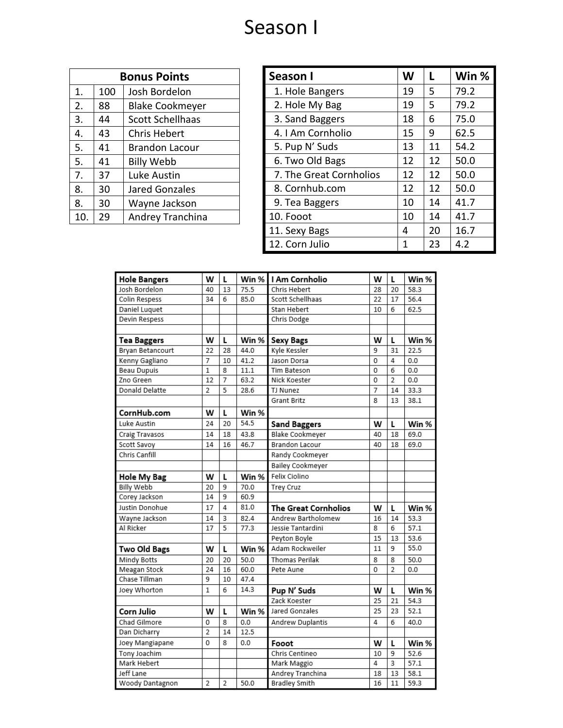## Season I

| <b>Bonus Points</b> |     |                         |  |
|---------------------|-----|-------------------------|--|
| 1.                  | 100 | Josh Bordelon           |  |
| 2.                  | 88  | <b>Blake Cookmeyer</b>  |  |
| 3.                  | 44  | <b>Scott Schellhaas</b> |  |
| 4.                  | 43  | <b>Chris Hebert</b>     |  |
| 5.                  | 41  | <b>Brandon Lacour</b>   |  |
| 5.                  | 41  | <b>Billy Webb</b>       |  |
| 7.                  | 37  | Luke Austin             |  |
| 8.                  | 30  | <b>Jared Gonzales</b>   |  |
| 8.                  | 30  | Wayne Jackson           |  |
| 10.                 | 29  | Andrey Tranchina        |  |

| Season I                | W  | L  | Win % |
|-------------------------|----|----|-------|
| 1. Hole Bangers         | 19 | 5  | 79.2  |
| 2. Hole My Bag          | 19 | 5  | 79.2  |
| 3. Sand Baggers         | 18 | 6  | 75.0  |
| 4. I Am Cornholio       | 15 | 9  | 62.5  |
| 5. Pup N' Suds          | 13 | 11 | 54.2  |
| 6. Two Old Bags         | 12 | 12 | 50.0  |
| 7. The Great Cornholios | 12 | 12 | 50.0  |
| 8. Cornhub.com          | 12 | 12 | 50.0  |
| 9. Tea Baggers          | 10 | 14 | 41.7  |
| 10. Fooot               | 10 | 14 | 41.7  |
| 11. Sexy Bags           | 4  | 20 | 16.7  |
| 12. Corn Julio          | 1  | 23 | 4.2   |

| <b>Hole Bangers</b> | w              | L              | Win % | I Am Cornholio                   | w        | L              | Win % |
|---------------------|----------------|----------------|-------|----------------------------------|----------|----------------|-------|
| Josh Bordelon       | 40             | 13             | 75.5  | Chris Hebert                     |          | 20             | 58.3  |
| Colin Respess       | 34             | 6              | 85.0  | Scott Schellhaas                 |          | 17             | 56.4  |
| Daniel Luquet       |                |                |       | Stan Hebert                      |          | 6              | 62.5  |
| Devin Respess       |                |                |       | Chris Dodge                      |          |                |       |
|                     |                |                |       |                                  |          |                |       |
| <b>Tea Baggers</b>  | w              | L              | Win % | <b>Sexy Bags</b>                 |          | L              | Win % |
| Bryan Betancourt    | 22             | 28             | 44.0  | Kyle Kessler                     | 9        | 31             | 22.5  |
| Kenny Gagliano      | 7              | 10             | 41.2  | Jason Dorsa                      | 0        | 4              | 0.0   |
| <b>Beau Dupuis</b>  | $\mathbf{1}$   | 8              | 11.1  | Tim Bateson                      | 0        | 6              | 0.0   |
| Zno Green           | 12             | 7              | 63.2  | Nick Koester                     | 0        | 2              | 0.0   |
| Donald Delatte      | $\overline{2}$ | 5              | 28.6  | TJ Nunez                         | 7        | 14             | 33.3  |
|                     |                |                |       | Grant Britz                      | 8        | 13             | 38.1  |
| CornHub.com         | w              | L              | Win % |                                  |          |                |       |
| Luke Austin         | 24             | 20             | 54.5  | <b>Sand Baggers</b>              | W        | L              | Win % |
| Craig Travasos      | 14             | 18             | 43.8  | <b>Blake Cookmeyer</b>           | 40       | 18             | 69.0  |
| Scott Savoy         | 14             | 16             | 46.7  | <b>Brandon Lacour</b>            | 40       | 18             | 69.0  |
| Chris Canfill       |                |                |       | Randy Cookmeyer                  |          |                |       |
|                     |                |                |       | <b>Bailey Cookmeyer</b>          |          |                |       |
| Hole My Bag         | w              | L              | Win % | Felix Ciolino                    |          |                |       |
| <b>Billy Webb</b>   | 20             | 9              | 70.0  | <b>Trey Cruz</b>                 |          |                |       |
| Corey Jackson       | 14             | 9              | 60.9  |                                  |          |                |       |
| Justin Donohue      | 17             | 4              | 81.0  | <b>The Great Cornholios</b><br>w |          | L              | Win % |
| Wayne Jackson       | 14             | 3              | 82.4  | Andrew Bartholomew               |          | 14             | 53.3  |
| Al Ricker           | 17             | 5              | 77.3  | Jessie Tantardini                |          | 6              | 57.1  |
|                     |                |                |       | Peyton Boyle                     | 15       | 13             | 53.6  |
| <b>Two Old Bags</b> | W              | L              | Win % | Adam Rockweiler                  | 11       | 9              | 55.0  |
| Mindy Botts         | 20             | 20             | 50.0  | Thomas Perilak                   | 8        | 8              | 50.0  |
| Meagan Stock        | 24             | 16             | 60.0  | Pete Aune                        |          | $\overline{2}$ | 0.0   |
| Chase Tillman       | 9              | 10             | 47.4  |                                  |          |                |       |
| Joey Whorton        | $\mathbf{1}$   | 6              | 14.3  | Pup N' Suds                      | W        | L              | Win % |
|                     |                |                |       | Zack Koester                     | 25       | 21             | 54.3  |
| Corn Julio          | w              | L              | Win % | Jared Gonzales                   | 25       | 23             | 52.1  |
| Chad Gilmore        | 0              | 8              | 0.0   | Andrew Duplantis<br>4            |          | 6              | 40.0  |
| Dan Dicharry        | $\overline{2}$ | 14             | 12.5  |                                  |          |                |       |
| Joey Mangiapane     | 0              | 8              | 0.0   | Fooot<br>w<br>L                  |          | Win %          |       |
| Tony Joachim        |                |                |       | Chris Centineo                   | 10       | 9              | 52.6  |
| Mark Hebert         |                |                |       | Mark Maggio                      | 4        | 3              | 57.1  |
| Jeff Lane           |                |                |       | Andrey Tranchina                 | 18<br>16 | 13             | 58.1  |
| Woody Dantagnon     | $\overline{2}$ | $\overline{2}$ | 50.0  | <b>Bradley Smith</b>             |          | 11             | 59.3  |